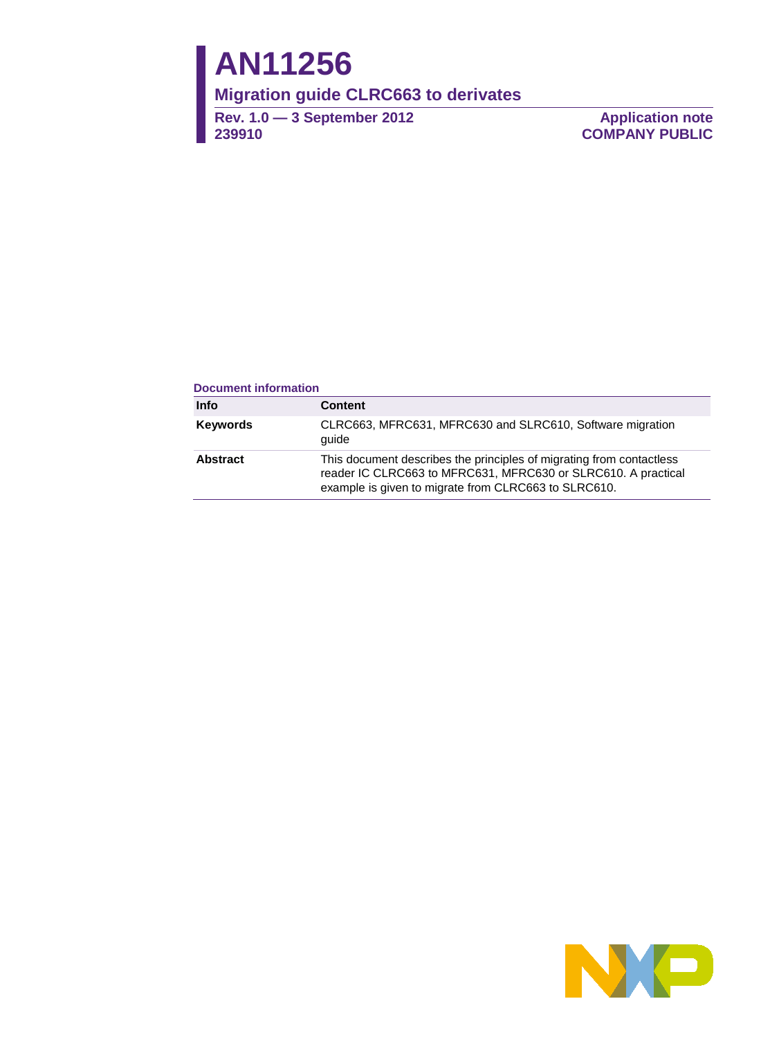# **AN11256**

**Migration guide CLRC663 to derivates** 

**Rev. 1.0 — 3 September 2012 239910** 

**Application note COMPANY PUBLIC**

#### **Document information**

| <b>Info</b>     | <b>Content</b>                                                                                                                                                                                |
|-----------------|-----------------------------------------------------------------------------------------------------------------------------------------------------------------------------------------------|
| <b>Keywords</b> | CLRC663, MFRC631, MFRC630 and SLRC610, Software migration<br>quide                                                                                                                            |
| Abstract        | This document describes the principles of migrating from contactless<br>reader IC CLRC663 to MFRC631, MFRC630 or SLRC610. A practical<br>example is given to migrate from CLRC663 to SLRC610. |

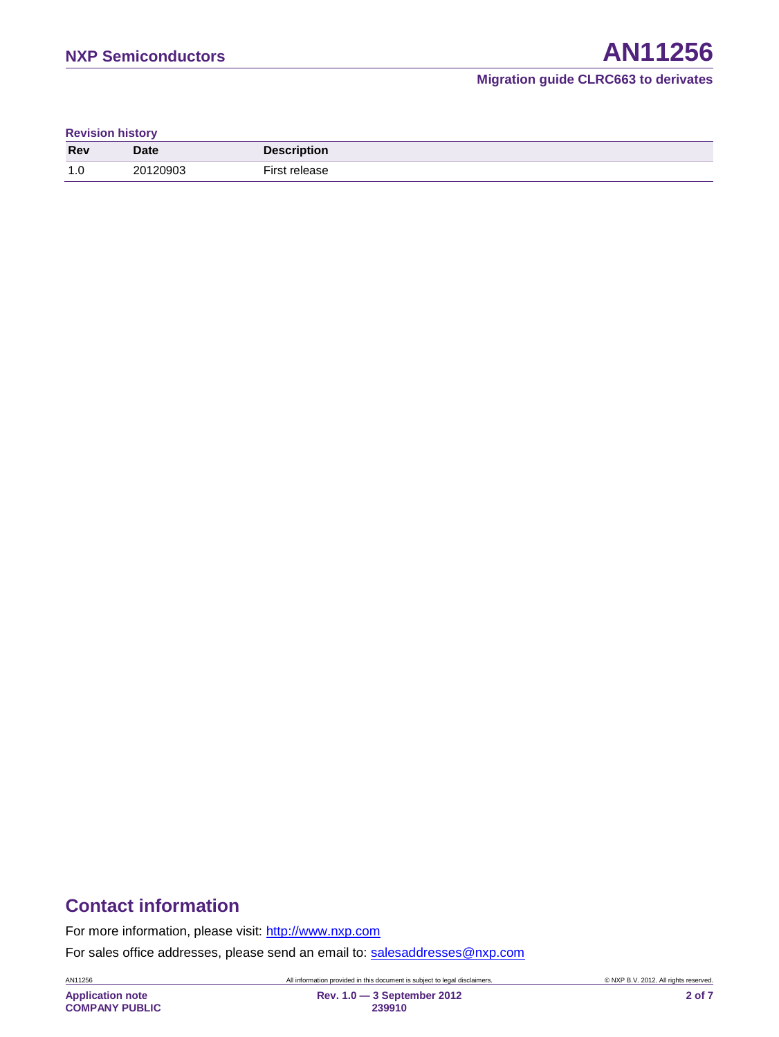| <b>Revision history</b> |  |
|-------------------------|--|
|-------------------------|--|

| <b>Rev</b> | <b>Date</b> | <b>Description</b> |
|------------|-------------|--------------------|
| 1.0        | 20120903    | First value        |

# **Contact information**

For more information, please visit: [http://www.nxp.com](http://www.nxp.com/)

For sales office addresses, please send an email to: [salesaddresses@nxp.com](mailto:salesaddresses@nxp.com)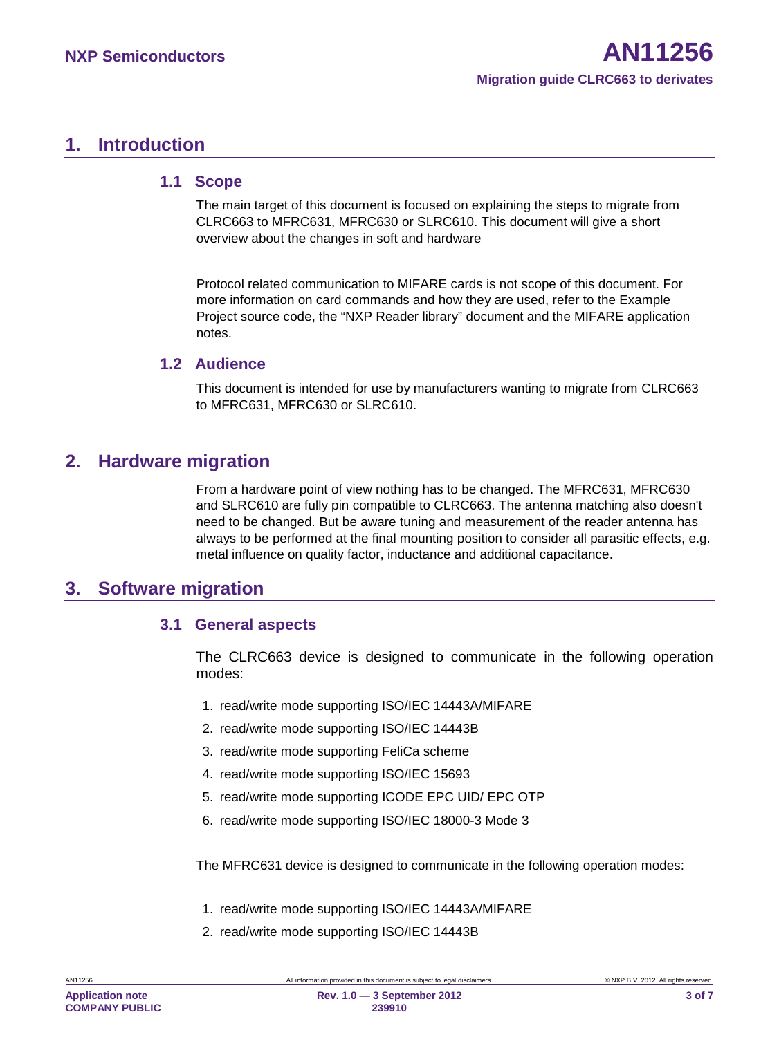## <span id="page-2-0"></span>**1. Introduction**

#### <span id="page-2-1"></span>**1.1 Scope**

The main target of this document is focused on explaining the steps to migrate from CLRC663 to MFRC631, MFRC630 or SLRC610. This document will give a short overview about the changes in soft and hardware

Protocol related communication to MIFARE cards is not scope of this document. For more information on card commands and how they are used, refer to the Example Project source code, the "NXP Reader library" document and the MIFARE application notes.

## <span id="page-2-2"></span>**1.2 Audience**

This document is intended for use by manufacturers wanting to migrate from CLRC663 to MFRC631, MFRC630 or SLRC610.

## <span id="page-2-3"></span>**2. Hardware migration**

From a hardware point of view nothing has to be changed. The MFRC631, MFRC630 and SLRC610 are fully pin compatible to CLRC663. The antenna matching also doesn't need to be changed. But be aware tuning and measurement of the reader antenna has always to be performed at the final mounting position to consider all parasitic effects, e.g. metal influence on quality factor, inductance and additional capacitance.

## <span id="page-2-4"></span>**3. Software migration**

## <span id="page-2-5"></span>**3.1 General aspects**

The CLRC663 device is designed to communicate in the following operation modes:

- 1. read/write mode supporting ISO/IEC 14443A/MIFARE
- 2. read/write mode supporting ISO/IEC 14443B
- 3. read/write mode supporting FeliCa scheme
- 4. read/write mode supporting ISO/IEC 15693
- 5. read/write mode supporting ICODE EPC UID/ EPC OTP
- 6. read/write mode supporting ISO/IEC 18000-3 Mode 3

The MFRC631 device is designed to communicate in the following operation modes:

- 1. read/write mode supporting ISO/IEC 14443A/MIFARE
- 2. read/write mode supporting ISO/IEC 14443B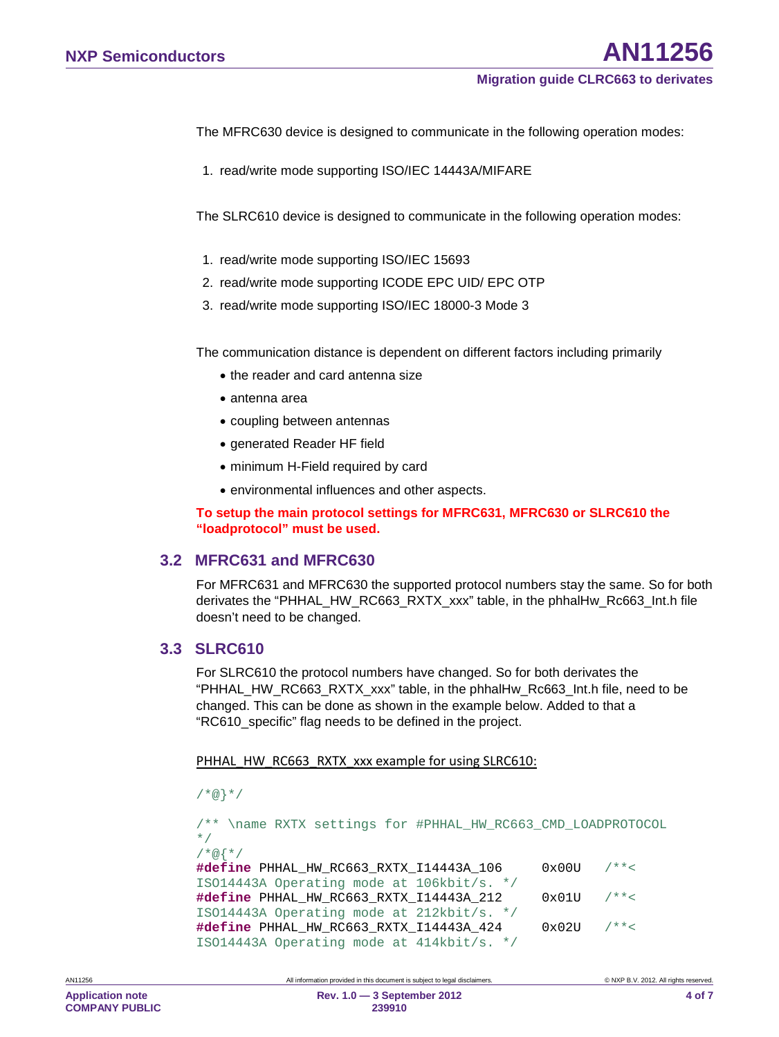The MFRC630 device is designed to communicate in the following operation modes:

1. read/write mode supporting ISO/IEC 14443A/MIFARE

The SLRC610 device is designed to communicate in the following operation modes:

- 1. read/write mode supporting ISO/IEC 15693
- 2. read/write mode supporting ICODE EPC UID/ EPC OTP
- 3. read/write mode supporting ISO/IEC 18000-3 Mode 3

The communication distance is dependent on different factors including primarily

- the reader and card antenna size
- antenna area
- coupling between antennas
- generated Reader HF field
- minimum H-Field required by card
- environmental influences and other aspects.

<span id="page-3-0"></span>**To setup the main protocol settings for MFRC631, MFRC630 or SLRC610 the "loadprotocol" must be used.** 

#### **3.2 MFRC631 and MFRC630**

For MFRC631 and MFRC630 the supported protocol numbers stay the same. So for both derivates the "PHHAL\_HW\_RC663\_RXTX\_xxx" table, in the phhalHw\_Rc663\_Int.h file doesn't need to be changed.

#### <span id="page-3-1"></span>**3.3 SLRC610**

For SLRC610 the protocol numbers have changed. So for both derivates the "PHHAL\_HW\_RC663\_RXTX\_xxx" table, in the phhalHw\_Rc663\_Int.h file, need to be changed. This can be done as shown in the example below. Added to that a "RC610\_specific" flag needs to be defined in the project.

PHHAL\_HW\_RC663\_RXTX\_xxx example for using SLRC610:

```
/*@}*/
```

```
/** \name RXTX settings for #PHHAL_HW_RC663_CMD_LOADPROTOCOL
*/
/*@{*/
#define PHHAL_HW_RC663_RXTX_I14443A_106 0x00U /**< 
ISO14443A Operating mode at 106kbit/s. */
#define PHHAL_HW_RC663_RXTX_I14443A_212 0x01U /**< 
ISO14443A Operating mode at 212kbit/s. */
#define PHHAL_HW_RC663_RXTX_I14443A_424 0x02U /**< 
ISO14443A Operating mode at 414kbit/s. */
```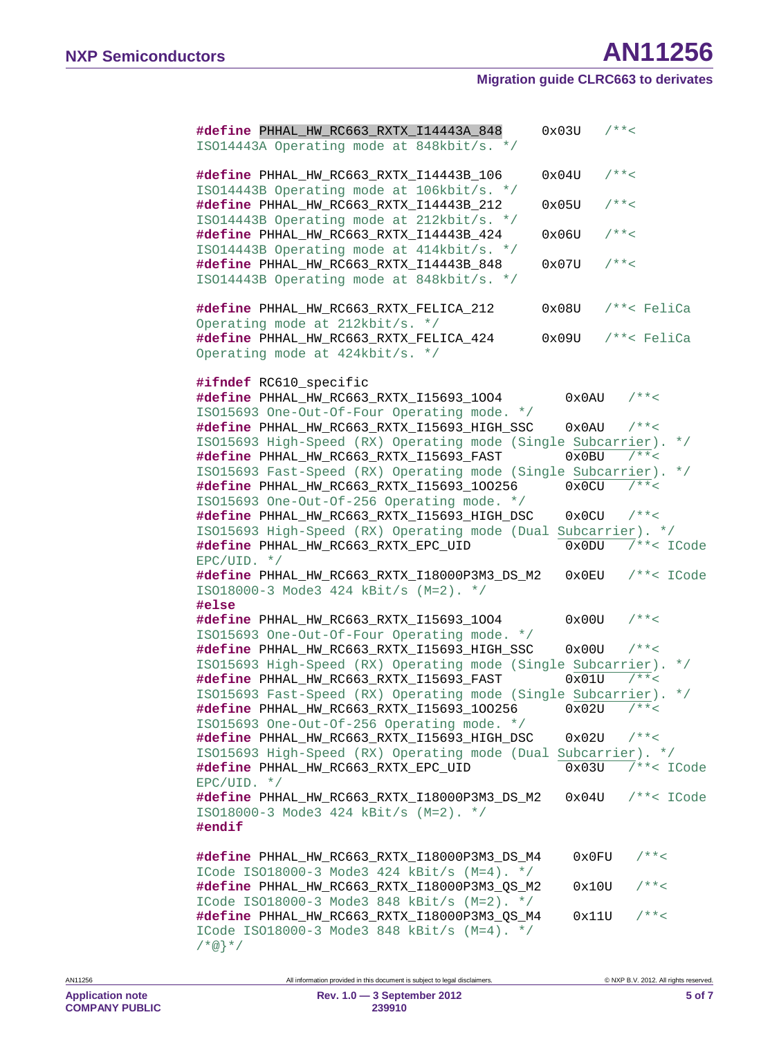| #define PHHAL_HW_RC663_RXTX_I14443A_848<br>ISO14443A Operating mode at 848kbit/s. */                             | 0x03U           | $1**$                  |
|------------------------------------------------------------------------------------------------------------------|-----------------|------------------------|
| #define PHHAL_HW_RC663_RXTX_I14443B_106<br>ISO14443B Operating mode at 106kbit/s. */                             | 0x04U           | $1**<$                 |
| #define PHHAL_HW_RC663_RXTX_I14443B_212<br>ISO14443B Operating mode at 212kbit/s. */                             | 0x05U           | $1**<$                 |
| #define PHHAL_HW_RC663_RXTX_I14443B_424<br>ISO14443B Operating mode at 414kbit/s. */                             | 0x06U           | $1**<$                 |
| #define PHHAL_HW_RC663_RXTX_I14443B_848<br>ISO14443B Operating mode at 848kbit/s. */                             | 0x07U           | $1 * * <$              |
| #define PHHAL_HW_RC663_RXTX_FELICA_212<br>Operating mode at 212kbit/s. */                                        | 0x08U           | $/**<$ FeliCa          |
| #define PHHAL_HW_RC663_RXTX_FELICA_424<br>Operating mode at 424kbit/s. */                                        | 0x09U           | $/**<$ FeliCa          |
| #ifndef RC610_specific<br>#define PHHAL_HW_RC663_RXTX_I15693_1004<br>IS015693 One-Out-Of-Four Operating mode. */ | 0x0AU           | $1**<$                 |
| #define PHHAL_HW_RC663_RXTX_I15693_HIGH_SSC                                                                      | 0x0AU           | $7 * * <$              |
| ISO15693 High-Speed (RX) Operating mode (Single Subcarrier).                                                     |                 | $\star$ /              |
| #define PHHAL_HW_RC663_RXTX_I15693_FAST                                                                          | 0x0BU           | $7 * * <$              |
| ISO15693 Fast-Speed (RX) Operating mode (Single Subcarrier).<br>#define PHHAL_HW_RC663_RXTX_I15693_100256        | 0x0CU           | $\star$ /<br>$7 * * <$ |
| IS015693 One-Out-Of-256 Operating mode. */                                                                       |                 |                        |
| #define PHHAL_HW_RC663_RXTX_I15693_HIGH_DSC                                                                      | 0x0CU           | $7 * * <$              |
| ISO15693 High-Speed (RX) Operating mode (Dual Subcarrier). */                                                    |                 |                        |
| #define PHHAL_HW_RC663_RXTX_EPC_UID<br>$EPC/UID. * /$                                                            | 0x0DU           | $/**<$ ICode           |
| #define PHHAL_HW_RC663_RXTX_I18000P3M3_DS_M2                                                                     | $0 \times 0$ EU | $/**<$ ICode           |
| ISO18000-3 Mode3 424 kBit/s (M=2). */<br>#else                                                                   |                 |                        |
| #define PHHAL_HW_RC663_RXTX_I15693_1004<br>ISO15693 One-Out-Of-Four Operating mode. */                           | 0x00U           | $7 * * <$              |
| #define PHHAL_HW_RC663_RXTX_I15693_HIGH_SSC                                                                      | 0x00U           | $7 * * <$              |
| ISO15693 High-Speed (RX) Operating mode (Single Subcarrier).                                                     |                 | $\star$ /              |
| #define PHHAL_HW_RC663_RXTX_I15693_FAST                                                                          | 0x01U           | $7 * * <$              |
| ISO15693 Fast-Speed (RX) Operating mode (Single Subcarrier).                                                     |                 | $\star$ /              |
| #define PHHAL_HW_RC663_RXTX_I15693_100256 $0x02U$ /**<                                                           |                 |                        |
| IS015693 One-Out-Of-256 Operating mode. */                                                                       |                 |                        |
| #define PHHAL_HW_RC663_RXTX_I15693_HIGH_DSC<br>ISO15693 High-Speed (RX) Operating mode (Dual Subcarrier). */     | 0x02U           | $7 * * <$              |
| #define PHHAL_HW_RC663_RXTX_EPC_UID                                                                              |                 | $0x03U$ /**< ICode     |
| $EPC/UID. * /$                                                                                                   |                 |                        |
| #define PHHAL_HW_RC663_RXTX_I18000P3M3_DS_M2                                                                     |                 | $0x04U$ /**< ICode     |
| ISO18000-3 Mode3 424 kBit/s (M=2). */<br>#endif                                                                  |                 |                        |
| #define PHHAL_HW_RC663_RXTX_I18000P3M3_DS_M4                                                                     | 0x0FU           | $1**<$                 |
| ICode ISO18000-3 Mode3 424 kBit/s (M=4). */<br>#define PHHAL_HW_RC663_RXTX_I18000P3M3_QS_M2                      | 0x10U           | $1**<$                 |
| ICode ISO18000-3 Mode3 848 kBit/s (M=2). */<br>#define PHHAL_HW_RC663_RXTX_I18000P3M3_QS_M4                      | 0x11U           | $1 * * <$              |
| ICode ISO18000-3 Mode3 848 kBit/s (M=4). */<br>$/*@$ * /                                                         |                 |                        |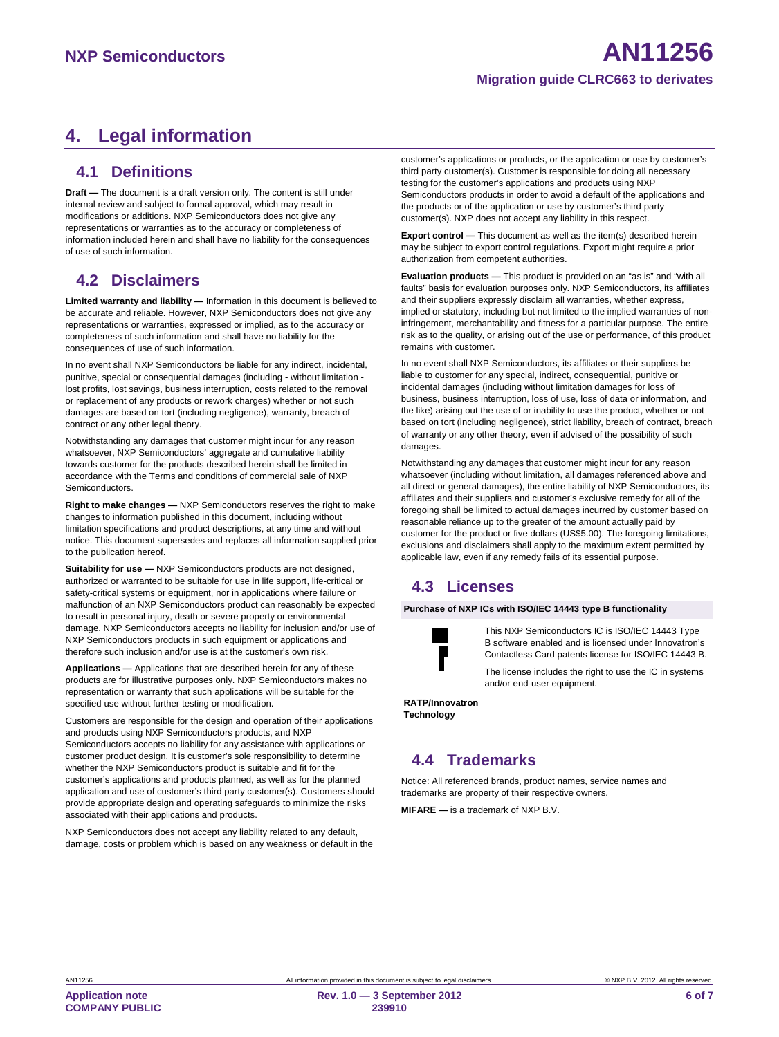## <span id="page-5-0"></span>**4. Legal information**

#### <span id="page-5-1"></span>**4.1 Definitions**

**Draft —** The document is a draft version only. The content is still under internal review and subject to formal approval, which may result in modifications or additions. NXP Semiconductors does not give any representations or warranties as to the accuracy or completeness of information included herein and shall have no liability for the consequences of use of such information.

## <span id="page-5-2"></span>**4.2 Disclaimers**

**Limited warranty and liability —** Information in this document is believed to be accurate and reliable. However, NXP Semiconductors does not give any representations or warranties, expressed or implied, as to the accuracy or completeness of such information and shall have no liability for the consequences of use of such information.

In no event shall NXP Semiconductors be liable for any indirect, incidental, punitive, special or consequential damages (including - without limitation lost profits, lost savings, business interruption, costs related to the removal or replacement of any products or rework charges) whether or not such damages are based on tort (including negligence), warranty, breach of contract or any other legal theory.

Notwithstanding any damages that customer might incur for any reason whatsoever, NXP Semiconductors' aggregate and cumulative liability towards customer for the products described herein shall be limited in accordance with the Terms and conditions of commercial sale of NXP Semiconductors.

**Right to make changes —** NXP Semiconductors reserves the right to make changes to information published in this document, including without limitation specifications and product descriptions, at any time and without notice. This document supersedes and replaces all information supplied prior to the publication hereof.

**Suitability for use —** NXP Semiconductors products are not designed, authorized or warranted to be suitable for use in life support, life-critical or safety-critical systems or equipment, nor in applications where failure or malfunction of an NXP Semiconductors product can reasonably be expected to result in personal injury, death or severe property or environmental damage. NXP Semiconductors accepts no liability for inclusion and/or use of NXP Semiconductors products in such equipment or applications and therefore such inclusion and/or use is at the customer's own risk.

**Applications —** Applications that are described herein for any of these products are for illustrative purposes only. NXP Semiconductors makes no representation or warranty that such applications will be suitable for the specified use without further testing or modification.

Customers are responsible for the design and operation of their applications and products using NXP Semiconductors products, and NXP Semiconductors accepts no liability for any assistance with applications or customer product design. It is customer's sole responsibility to determine whether the NXP Semiconductors product is suitable and fit for the customer's applications and products planned, as well as for the planned application and use of customer's third party customer(s). Customers should provide appropriate design and operating safeguards to minimize the risks associated with their applications and products.

NXP Semiconductors does not accept any liability related to any default, damage, costs or problem which is based on any weakness or default in the customer's applications or products, or the application or use by customer's third party customer(s). Customer is responsible for doing all necessary testing for the customer's applications and products using NXP Semiconductors products in order to avoid a default of the applications and the products or of the application or use by customer's third party customer(s). NXP does not accept any liability in this respect.

**Export control —** This document as well as the item(s) described herein may be subject to export control regulations. Export might require a prior authorization from competent authorities.

**Evaluation products —** This product is provided on an "as is" and "with all faults" basis for evaluation purposes only. NXP Semiconductors, its affiliates and their suppliers expressly disclaim all warranties, whether express, implied or statutory, including but not limited to the implied warranties of noninfringement, merchantability and fitness for a particular purpose. The entire risk as to the quality, or arising out of the use or performance, of this product remains with customer.

In no event shall NXP Semiconductors, its affiliates or their suppliers be liable to customer for any special, indirect, consequential, punitive or incidental damages (including without limitation damages for loss of business, business interruption, loss of use, loss of data or information, and the like) arising out the use of or inability to use the product, whether or not based on tort (including negligence), strict liability, breach of contract, breach of warranty or any other theory, even if advised of the possibility of such damages

Notwithstanding any damages that customer might incur for any reason whatsoever (including without limitation, all damages referenced above and all direct or general damages), the entire liability of NXP Semiconductors, its affiliates and their suppliers and customer's exclusive remedy for all of the foregoing shall be limited to actual damages incurred by customer based on reasonable reliance up to the greater of the amount actually paid by customer for the product or five dollars (US\$5.00). The foregoing limitations, exclusions and disclaimers shall apply to the maximum extent permitted by applicable law, even if any remedy fails of its essential purpose.

## <span id="page-5-3"></span>**4.3 Licenses**

**Purchase of NXP ICs with ISO/IEC 14443 type B functionality**



This NXP Semiconductors IC is ISO/IEC 14443 Type B software enabled and is licensed under Innovatron's Contactless Card patents license for ISO/IEC 14443 B.

The license includes the right to use the IC in systems and/or end-user equipment.

**RATP/Innovatron Technology**

## <span id="page-5-4"></span>**4.4 Trademarks**

Notice: All referenced brands, product names, service names and trademarks are property of their respective owners.

**MIFARE —** is a trademark of NXP B.V.

**Application note COMPANY PUBLIC**